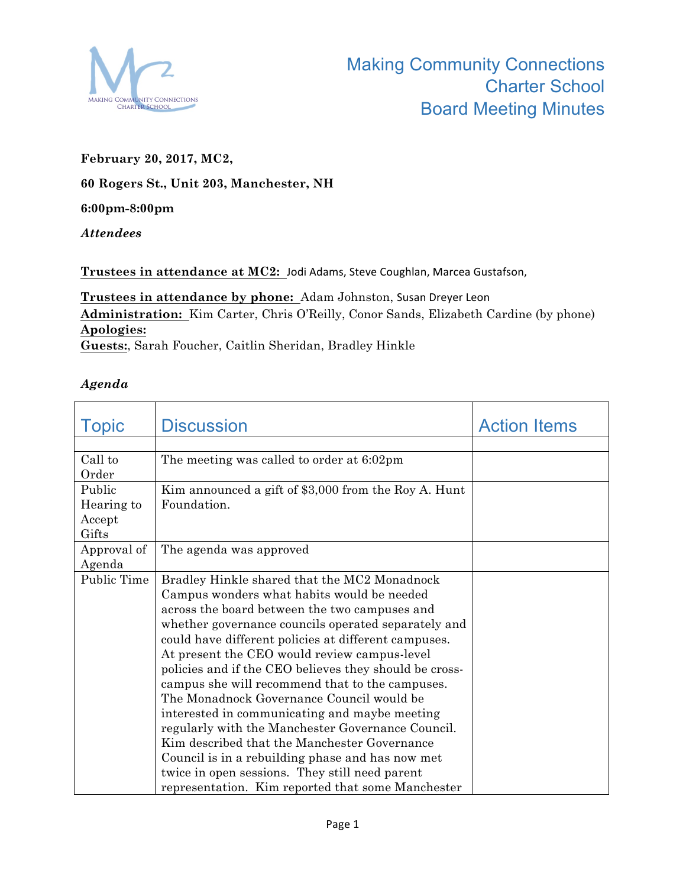

## **February 20, 2017, MC2,**

## **60 Rogers St., Unit 203, Manchester, NH**

## **6:00pm-8:00pm**

*Attendees* 

Trustees in attendance at MC2: Jodi Adams, Steve Coughlan, Marcea Gustafson,

Trustees in attendance by phone: Adam Johnston, Susan Dreyer Leon **Administration:** Kim Carter, Chris O'Reilly, Conor Sands, Elizabeth Cardine (by phone) **Apologies: Guests:**, Sarah Foucher, Caitlin Sheridan, Bradley Hinkle

## *Agenda*

| <b>Topic</b>     | <b>Discussion</b>                                      | <b>Action Items</b> |
|------------------|--------------------------------------------------------|---------------------|
|                  |                                                        |                     |
| Call to<br>Order | The meeting was called to order at 6:02pm              |                     |
| Public           | Kim announced a gift of \$3,000 from the Roy A. Hunt   |                     |
| Hearing to       | Foundation.                                            |                     |
| Accept           |                                                        |                     |
| Gifts            |                                                        |                     |
| Approval of      | The agenda was approved                                |                     |
| Agenda           |                                                        |                     |
| Public Time      | Bradley Hinkle shared that the MC2 Monadnock           |                     |
|                  | Campus wonders what habits would be needed             |                     |
|                  | across the board between the two campuses and          |                     |
|                  | whether governance councils operated separately and    |                     |
|                  | could have different policies at different campuses.   |                     |
|                  | At present the CEO would review campus-level           |                     |
|                  | policies and if the CEO believes they should be cross- |                     |
|                  | campus she will recommend that to the campuses.        |                     |
|                  | The Monadnock Governance Council would be              |                     |
|                  | interested in communicating and maybe meeting          |                     |
|                  | regularly with the Manchester Governance Council.      |                     |
|                  | Kim described that the Manchester Governance           |                     |
|                  | Council is in a rebuilding phase and has now met       |                     |
|                  | twice in open sessions. They still need parent         |                     |
|                  | representation. Kim reported that some Manchester      |                     |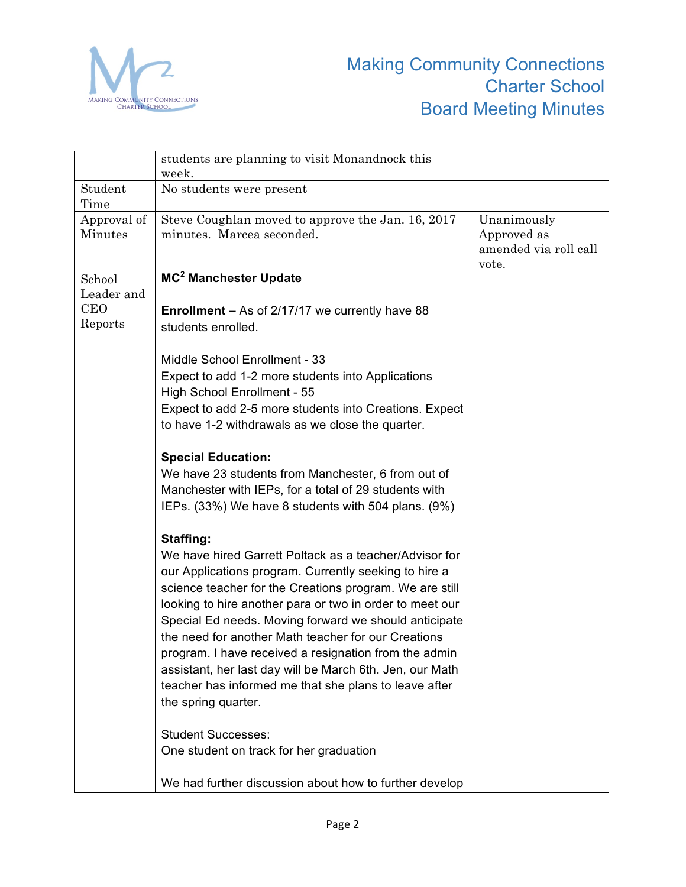

|                        | students are planning to visit Monandnock this<br>week.                                                           |                                                              |
|------------------------|-------------------------------------------------------------------------------------------------------------------|--------------------------------------------------------------|
| Student<br>Time        | No students were present                                                                                          |                                                              |
| Approval of<br>Minutes | Steve Coughlan moved to approve the Jan. 16, 2017<br>minutes. Marcea seconded.                                    | Unanimously<br>Approved as<br>amended via roll call<br>vote. |
| School                 | MC <sup>2</sup> Manchester Update                                                                                 |                                                              |
| Leader and             |                                                                                                                   |                                                              |
| <b>CEO</b><br>Reports  | <b>Enrollment – As of 2/17/17 we currently have 88</b><br>students enrolled.                                      |                                                              |
|                        | Middle School Enrollment - 33                                                                                     |                                                              |
|                        | Expect to add 1-2 more students into Applications                                                                 |                                                              |
|                        | High School Enrollment - 55                                                                                       |                                                              |
|                        | Expect to add 2-5 more students into Creations. Expect                                                            |                                                              |
|                        | to have 1-2 withdrawals as we close the quarter.                                                                  |                                                              |
|                        | <b>Special Education:</b>                                                                                         |                                                              |
|                        | We have 23 students from Manchester, 6 from out of                                                                |                                                              |
|                        | Manchester with IEPs, for a total of 29 students with                                                             |                                                              |
|                        | IEPs. (33%) We have 8 students with 504 plans. (9%)                                                               |                                                              |
|                        | Staffing:                                                                                                         |                                                              |
|                        | We have hired Garrett Poltack as a teacher/Advisor for                                                            |                                                              |
|                        | our Applications program. Currently seeking to hire a                                                             |                                                              |
|                        | science teacher for the Creations program. We are still                                                           |                                                              |
|                        | looking to hire another para or two in order to meet our<br>Special Ed needs. Moving forward we should anticipate |                                                              |
|                        | the need for another Math teacher for our Creations                                                               |                                                              |
|                        | program. I have received a resignation from the admin                                                             |                                                              |
|                        | assistant, her last day will be March 6th. Jen, our Math                                                          |                                                              |
|                        | teacher has informed me that she plans to leave after                                                             |                                                              |
|                        | the spring quarter.                                                                                               |                                                              |
|                        | <b>Student Successes:</b>                                                                                         |                                                              |
|                        | One student on track for her graduation                                                                           |                                                              |
|                        | We had further discussion about how to further develop                                                            |                                                              |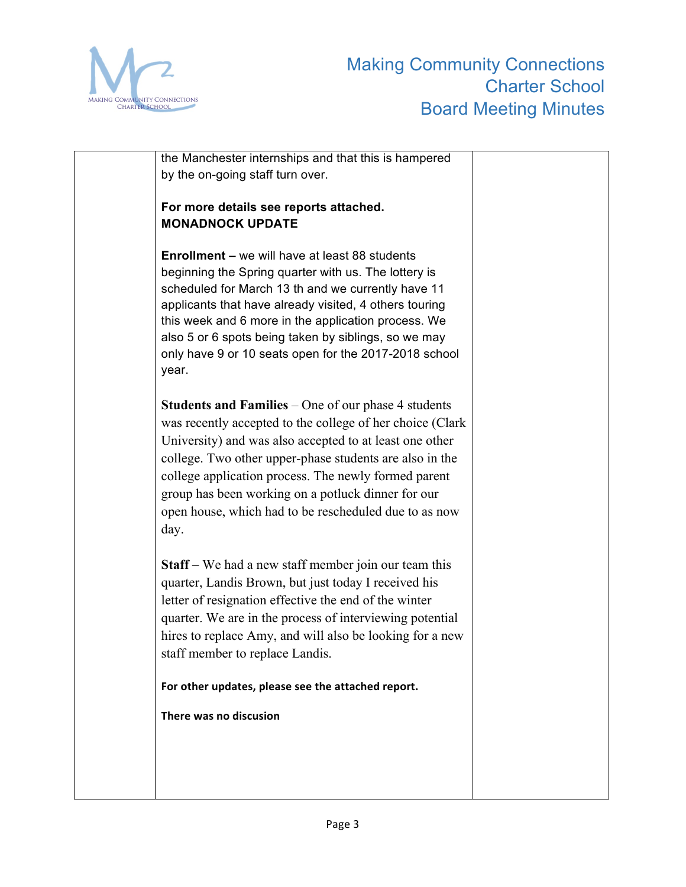

| the Manchester internships and that this is hampered<br>by the on-going staff turn over.                                                                                                                                                                                                                                                                                                                                     |  |
|------------------------------------------------------------------------------------------------------------------------------------------------------------------------------------------------------------------------------------------------------------------------------------------------------------------------------------------------------------------------------------------------------------------------------|--|
| For more details see reports attached.<br><b>MONADNOCK UPDATE</b>                                                                                                                                                                                                                                                                                                                                                            |  |
| <b>Enrollment – we will have at least 88 students</b><br>beginning the Spring quarter with us. The lottery is<br>scheduled for March 13 th and we currently have 11<br>applicants that have already visited, 4 others touring<br>this week and 6 more in the application process. We<br>also 5 or 6 spots being taken by siblings, so we may<br>only have 9 or 10 seats open for the 2017-2018 school<br>year.               |  |
| <b>Students and Families</b> – One of our phase 4 students<br>was recently accepted to the college of her choice (Clark<br>University) and was also accepted to at least one other<br>college. Two other upper-phase students are also in the<br>college application process. The newly formed parent<br>group has been working on a potluck dinner for our<br>open house, which had to be rescheduled due to as now<br>day. |  |
| <b>Staff</b> – We had a new staff member join our team this<br>quarter, Landis Brown, but just today I received his<br>letter of resignation effective the end of the winter<br>quarter. We are in the process of interviewing potential<br>hires to replace Amy, and will also be looking for a new<br>staff member to replace Landis.                                                                                      |  |
| For other updates, please see the attached report.                                                                                                                                                                                                                                                                                                                                                                           |  |
| There was no discusion                                                                                                                                                                                                                                                                                                                                                                                                       |  |
|                                                                                                                                                                                                                                                                                                                                                                                                                              |  |
|                                                                                                                                                                                                                                                                                                                                                                                                                              |  |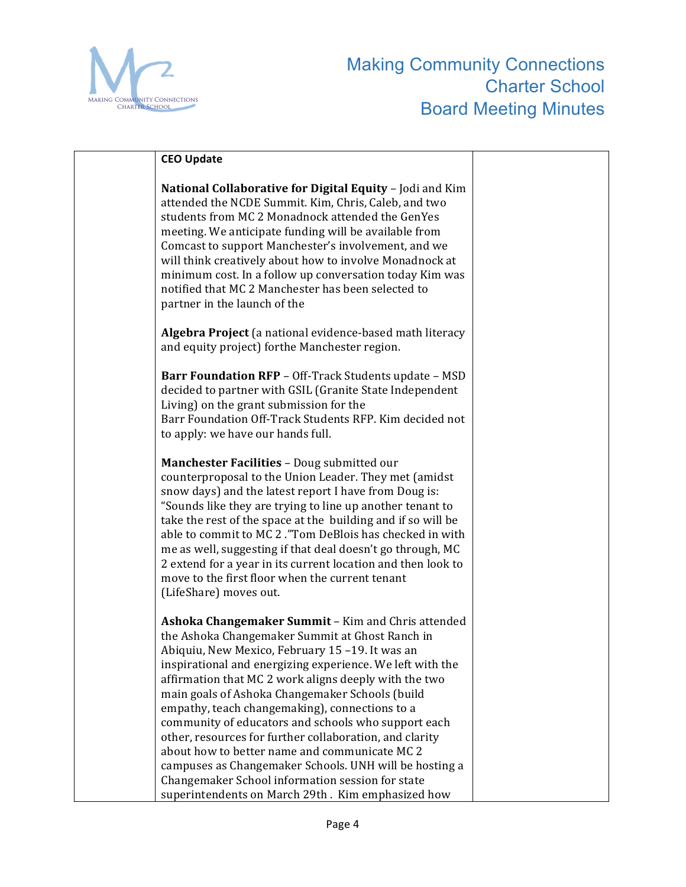

| <b>CEO Update</b>                                                                                                                                                                                                                                                                                                                                                                                                                                                                                                                                                                                                                                                                                                        |  |
|--------------------------------------------------------------------------------------------------------------------------------------------------------------------------------------------------------------------------------------------------------------------------------------------------------------------------------------------------------------------------------------------------------------------------------------------------------------------------------------------------------------------------------------------------------------------------------------------------------------------------------------------------------------------------------------------------------------------------|--|
| National Collaborative for Digital Equity - Jodi and Kim<br>attended the NCDE Summit. Kim, Chris, Caleb, and two<br>students from MC 2 Monadnock attended the GenYes<br>meeting. We anticipate funding will be available from<br>Comcast to support Manchester's involvement, and we<br>will think creatively about how to involve Monadnock at<br>minimum cost. In a follow up conversation today Kim was<br>notified that MC 2 Manchester has been selected to<br>partner in the launch of the                                                                                                                                                                                                                         |  |
| Algebra Project (a national evidence-based math literacy<br>and equity project) forthe Manchester region.                                                                                                                                                                                                                                                                                                                                                                                                                                                                                                                                                                                                                |  |
| Barr Foundation RFP - Off-Track Students update - MSD<br>decided to partner with GSIL (Granite State Independent<br>Living) on the grant submission for the<br>Barr Foundation Off-Track Students RFP. Kim decided not<br>to apply: we have our hands full.                                                                                                                                                                                                                                                                                                                                                                                                                                                              |  |
| Manchester Facilities - Doug submitted our<br>counterproposal to the Union Leader. They met (amidst<br>snow days) and the latest report I have from Doug is:<br>"Sounds like they are trying to line up another tenant to<br>take the rest of the space at the building and if so will be<br>able to commit to MC 2. "Tom DeBlois has checked in with<br>me as well, suggesting if that deal doesn't go through, MC<br>2 extend for a year in its current location and then look to<br>move to the first floor when the current tenant<br>(LifeShare) moves out.                                                                                                                                                         |  |
| Ashoka Changemaker Summit - Kim and Chris attended<br>the Ashoka Changemaker Summit at Ghost Ranch in<br>Abiquiu, New Mexico, February 15-19. It was an<br>inspirational and energizing experience. We left with the<br>affirmation that MC 2 work aligns deeply with the two<br>main goals of Ashoka Changemaker Schools (build<br>empathy, teach changemaking), connections to a<br>community of educators and schools who support each<br>other, resources for further collaboration, and clarity<br>about how to better name and communicate MC 2<br>campuses as Changemaker Schools. UNH will be hosting a<br>Changemaker School information session for state<br>superintendents on March 29th. Kim emphasized how |  |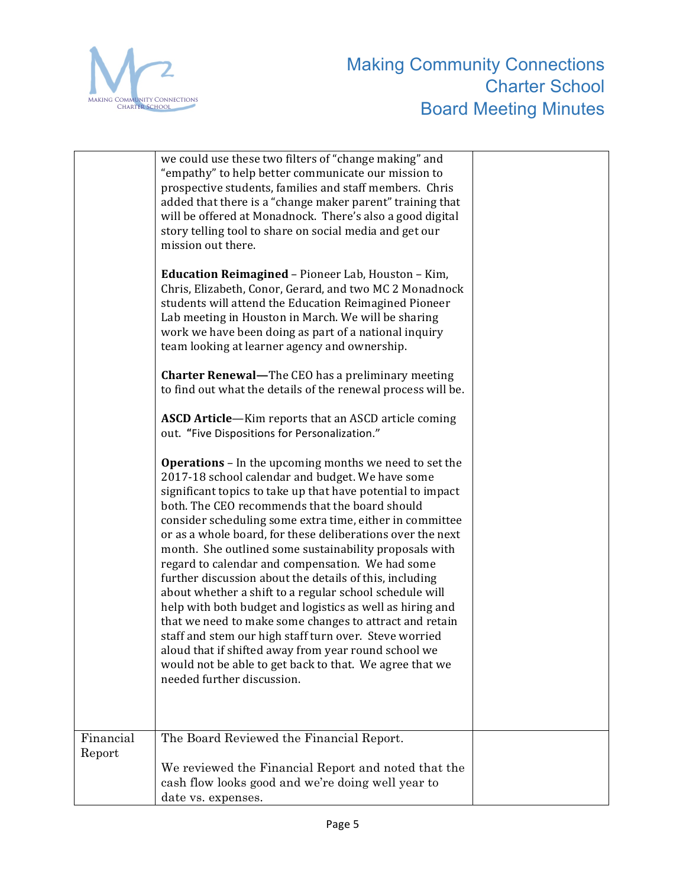

|                     | we could use these two filters of "change making" and<br>"empathy" to help better communicate our mission to<br>prospective students, families and staff members. Chris<br>added that there is a "change maker parent" training that<br>will be offered at Monadnock. There's also a good digital<br>story telling tool to share on social media and get our<br>mission out there.<br><b>Education Reimagined</b> - Pioneer Lab, Houston - Kim,<br>Chris, Elizabeth, Conor, Gerard, and two MC 2 Monadnock<br>students will attend the Education Reimagined Pioneer<br>Lab meeting in Houston in March. We will be sharing<br>work we have been doing as part of a national inquiry<br>team looking at learner agency and ownership.<br><b>Charter Renewal-The CEO has a preliminary meeting</b><br>to find out what the details of the renewal process will be.<br>ASCD Article-Kim reports that an ASCD article coming<br>out. "Five Dispositions for Personalization."<br><b>Operations</b> - In the upcoming months we need to set the<br>2017-18 school calendar and budget. We have some<br>significant topics to take up that have potential to impact<br>both. The CEO recommends that the board should<br>consider scheduling some extra time, either in committee<br>or as a whole board, for these deliberations over the next<br>month. She outlined some sustainability proposals with<br>regard to calendar and compensation. We had some<br>further discussion about the details of this, including<br>about whether a shift to a regular school schedule will<br>help with both budget and logistics as well as hiring and<br>that we need to make some changes to attract and retain<br>staff and stem our high staff turn over. Steve worried<br>aloud that if shifted away from year round school we<br>would not be able to get back to that. We agree that we<br>needed further discussion. |  |
|---------------------|------------------------------------------------------------------------------------------------------------------------------------------------------------------------------------------------------------------------------------------------------------------------------------------------------------------------------------------------------------------------------------------------------------------------------------------------------------------------------------------------------------------------------------------------------------------------------------------------------------------------------------------------------------------------------------------------------------------------------------------------------------------------------------------------------------------------------------------------------------------------------------------------------------------------------------------------------------------------------------------------------------------------------------------------------------------------------------------------------------------------------------------------------------------------------------------------------------------------------------------------------------------------------------------------------------------------------------------------------------------------------------------------------------------------------------------------------------------------------------------------------------------------------------------------------------------------------------------------------------------------------------------------------------------------------------------------------------------------------------------------------------------------------------------------------------------------------------------------------------------------------------------------------------------|--|
| Financial<br>Report | The Board Reviewed the Financial Report.<br>We reviewed the Financial Report and noted that the<br>cash flow looks good and we're doing well year to<br>date vs. expenses.                                                                                                                                                                                                                                                                                                                                                                                                                                                                                                                                                                                                                                                                                                                                                                                                                                                                                                                                                                                                                                                                                                                                                                                                                                                                                                                                                                                                                                                                                                                                                                                                                                                                                                                                       |  |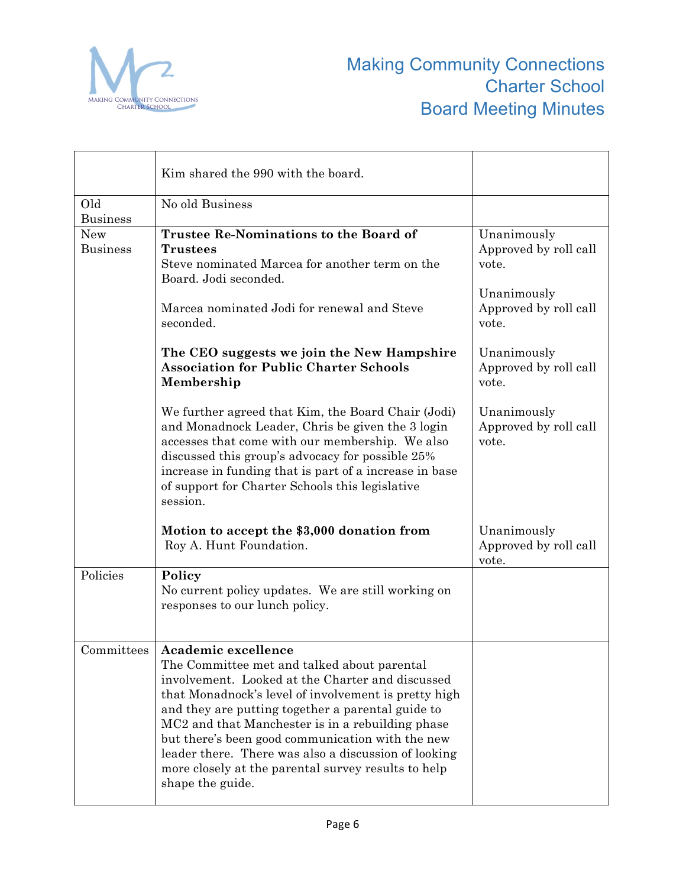

|                               | Kim shared the 990 with the board.                                                                                                                                                                                                                                                                                                                                                                                                                                                                      |                                               |
|-------------------------------|---------------------------------------------------------------------------------------------------------------------------------------------------------------------------------------------------------------------------------------------------------------------------------------------------------------------------------------------------------------------------------------------------------------------------------------------------------------------------------------------------------|-----------------------------------------------|
| Old<br><b>Business</b>        | No old Business                                                                                                                                                                                                                                                                                                                                                                                                                                                                                         |                                               |
| <b>New</b><br><b>Business</b> | <b>Trustee Re-Nominations to the Board of</b><br><b>Trustees</b><br>Steve nominated Marcea for another term on the<br>Board. Jodi seconded.                                                                                                                                                                                                                                                                                                                                                             | Unanimously<br>Approved by roll call<br>vote. |
|                               | Marcea nominated Jodi for renewal and Steve<br>seconded.                                                                                                                                                                                                                                                                                                                                                                                                                                                | Unanimously<br>Approved by roll call<br>vote. |
|                               | The CEO suggests we join the New Hampshire<br><b>Association for Public Charter Schools</b><br>Membership                                                                                                                                                                                                                                                                                                                                                                                               | Unanimously<br>Approved by roll call<br>vote. |
|                               | We further agreed that Kim, the Board Chair (Jodi)<br>and Monadnock Leader, Chris be given the 3 login<br>accesses that come with our membership. We also<br>discussed this group's advocacy for possible 25%<br>increase in funding that is part of a increase in base<br>of support for Charter Schools this legislative<br>session.                                                                                                                                                                  | Unanimously<br>Approved by roll call<br>vote. |
|                               | Motion to accept the \$3,000 donation from<br>Roy A. Hunt Foundation.                                                                                                                                                                                                                                                                                                                                                                                                                                   | Unanimously<br>Approved by roll call<br>vote. |
| Policies                      | Policy<br>No current policy updates. We are still working on<br>responses to our lunch policy.                                                                                                                                                                                                                                                                                                                                                                                                          |                                               |
|                               | Committees   Academic excellence<br>The Committee met and talked about parental<br>involvement. Looked at the Charter and discussed<br>that Monadnock's level of involvement is pretty high<br>and they are putting together a parental guide to<br>MC <sub>2</sub> and that Manchester is in a rebuilding phase<br>but there's been good communication with the new<br>leader there. There was also a discussion of looking<br>more closely at the parental survey results to help<br>shape the guide. |                                               |